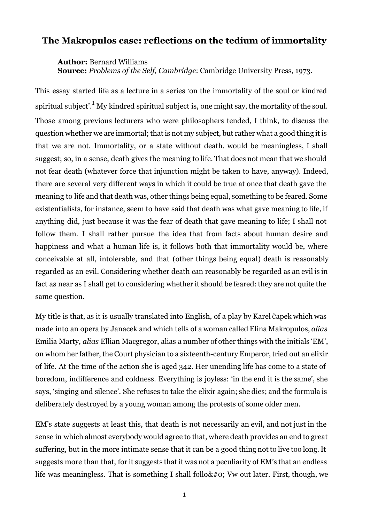## **The Makropulos case: reflections on the tedium of immortality**

## **Author:** Bernard Williams **Source:** *Problems of the Self, Cambridge*: Cambridge University Press, 1973.

This essay started life as a lecture in a series 'on the immortality of the soul or kindred spiritual subject'.<sup>1</sup> My kindred spiritual subject is, one might say, the mortality of the soul. Those among previous lecturers who were philosophers tended, I think, to discuss the question whether we are immortal; that is not my subject, but rather what a good thing it is that we are not. Immortality, or a state without death, would be meaningless, I shall suggest; so, in a sense, death gives the meaning to life. That does not mean that we should not fear death (whatever force that injunction might be taken to have, anyway). Indeed, there are several very different ways in which it could be true at once that death gave the meaning to life and that death was, other things being equal, something to be feared. Some existentialists, for instance, seem to have said that death was what gave meaning to life, if anything did, just because it was the fear of death that gave meaning to life; I shall not follow them. I shall rather pursue the idea that from facts about human desire and happiness and what a human life is, it follows both that immortality would be, where conceivable at all, intolerable, and that (other things being equal) death is reasonably regarded as an evil. Considering whether death can reasonably be regarded as an evil is in fact as near as I shall get to considering whether it should be feared: they are not quite the same question.

My title is that, as it is usually translated into English, of a play by Karel Čapek which was made into an opera by Janacek and which tells of a woman called Elina Makropulos, *alias* Emilia Marty, *alias* Ellian Macgregor, alias a number of other things with the initials 'EM', on whom her father, the Court physician to a sixteenth-century Emperor, tried out an elixir of life. At the time of the action she is aged 342. Her unending life has come to a state of boredom, indifference and coldness. Everything is joyless: 'in the end it is the same', she says, 'singing and silence'. She refuses to take the elixir again; she dies; and the formula is deliberately destroyed by a young woman among the protests of some older men.

EM's state suggests at least this, that death is not necessarily an evil, and not just in the sense in which almost everybody would agree to that, where death provides an end to great suffering, but in the more intimate sense that it can be a good thing not to live too long. It suggests more than that, for it suggests that it was not a peculiarity of EM's that an endless life was meaningless. That is something I shall follo $&\#o$ ; Vw out later. First, though, we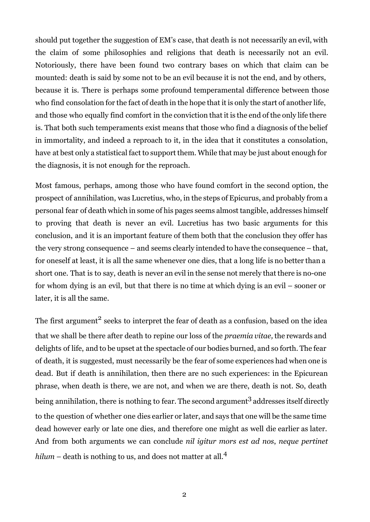should put together the suggestion of EM's case, that death is not necessarily an evil, with the claim of some philosophies and religions that death is necessarily not an evil. Notoriously, there have been found two contrary bases on which that claim can be mounted: death is said by some not to be an evil because it is not the end, and by others, because it is. There is perhaps some profound temperamental difference between those who find consolation for the fact of death in the hope that it is only the start of another life, and those who equally find comfort in the conviction that it is the end of the only life there is. That both such temperaments exist means that those who find a diagnosis of the belief in immortality, and indeed a reproach to it, in the idea that it constitutes a consolation, have at best only a statistical fact to support them. While that may be just about enough for the diagnosis, it is not enough for the reproach.

Most famous, perhaps, among those who have found comfort in the second option, the prospect of annihilation, was Lucretius, who, in the steps of Epicurus, and probably from a personal fear of death which in some of his pages seems almost tangible, addresses himself to proving that death is never an evil. Lucretius has two basic arguments for this conclusion, and it is an important feature of them both that the conclusion they offer has the very strong consequence – and seems clearly intended to have the consequence – that, for oneself at least, it is all the same whenever one dies, that a long life is no better than a short one. That is to say, death is never an evil in the sense not merely that there is no-one for whom dying is an evil, but that there is no time at which dying is an evil – sooner or later, it is all the same.

The first argument $^2$  seeks to interpret the fear of death as a confusion, based on the idea that we shall be there after death to repine our loss of the *praemia vitae,* the rewards and delights of life, and to be upset at the spectacle of our bodies burned, and so forth. The fear of death, it is suggested, must necessarily be the fear of some experiences had when one is dead. But if death is annihilation, then there are no such experiences: in the Epicurean phrase, when death is there, we are not, and when we are there, death is not. So, death being annihilation, there is nothing to fear. The second argument $^3$  addresses itself directly to the question of whether one dies earlier or later, and says that one will be the same time dead however early or late one dies, and therefore one might as well die earlier as later. And from both arguments we can conclude *nil igitur mors est ad nos*, *neque pertinet*  $hilum$  – death is nothing to us, and does not matter at all.<sup>4</sup>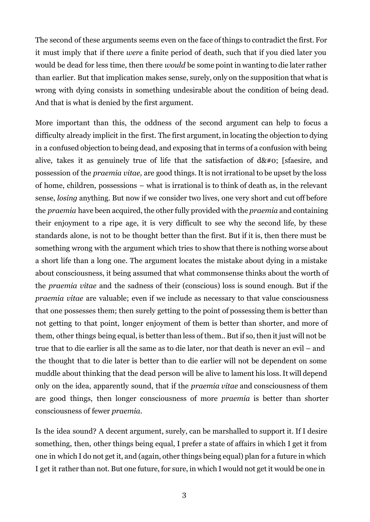The second of these arguments seems even on the face of things to contradict the first. For it must imply that if there *were* a finite period of death, such that if you died later you would be dead for less time, then there *would* be some point in wanting to die later rather than earlier. But that implication makes sense, surely, only on the supposition that what is wrong with dying consists in something undesirable about the condition of being dead. And that is what is denied by the first argument.

More important than this, the oddness of the second argument can help to focus a difficulty already implicit in the first. The first argument, in locating the objection to dying in a confused objection to being dead, and exposing that in terms of a confusion with being alive, takes it as genuinely true of life that the satisfaction of  $d\&\#o$ ; [sfaesire, and possession of the *praemia vitae,* are good things.It is not irrational to be upset by the loss of home, children, possessions – what is irrational is to think of death as, in the relevant sense, *losing* anything. But now if we consider two lives, one very short and cut off before the *praemia* have been acquired, the other fully provided with the *praemia* and containing their enjoyment to a ripe age, it is very difficult to see why the second life, by these standards alone, is not to be thought better than the first. But if it is, then there must be something wrong with the argument which tries to show that there is nothing worse about a short life than a long one. The argument locates the mistake about dying in a mistake about consciousness, it being assumed that what commonsense thinks about the worth of the *praemia vitae* and the sadness of their (conscious) loss is sound enough. But if the *praemia vitae* are valuable; even if we include as necessary to that value consciousness that one possesses them; then surely getting to the point of possessing them is better than not getting to that point, longer enjoyment of them is better than shorter, and more of them, other things being equal, is better than less of them.. But if so, then it just will not be true that to die earlier is all the same as to die later, nor that death is never an evil – and the thought that to die later is better than to die earlier will not be dependent on some muddle about thinking that the dead person will be alive to lament his loss.It will depend only on the idea, apparently sound, that if the *praemia vitae* and consciousness of them are good things, then longer consciousness of more *praemia* is better than shorter consciousness of fewer *praemia*.

Is the idea sound? A decent argument, surely, can be marshalled to support it. If I desire something, then, other things being equal, I prefer a state of affairs in which I get it from one in which I do not get it, and (again, other things being equal) plan for a future in which I get it rather than not. But one future, for sure, in which I would not get it would be one in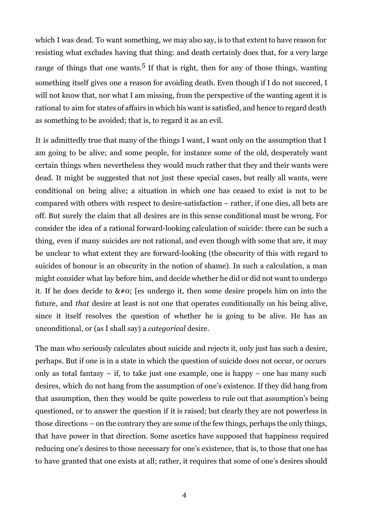which I was dead. To want something, we may also say, is to that extent to have reason for resisting what excludes having that thing: and death certainly does that, for a very large range of things that one wants.<sup>5</sup> If that is right, then for any of those things, wanting something itself gives one a reason for avoiding death. Even though if I do not succeed, I will not know that, nor what I am missing, from the perspective of the wanting agent it is rational to aim for states of affairs in which his want is satisfied, and hence to regard death as something to be avoided; that is, to regard it as an evil.

It is admittedly true that many of the things I want, I want only on the assumption that I am going to be alive; and some people, for instance some of the old, desperately want certain things when nevertheless they would much rather that they and their wants were dead. It might be suggested that not just these special cases, but really all wants, were conditional on being alive; a situation in which one has ceased to exist is not to be compared with others with respect to desire-satisfaction – rather, if one dies, all bets are off. But surely the claim that all desires are in this sense conditional must be wrong. For consider the idea of a rational forward-looking calculation of suicide: there can be such a thing, even if many suicides are not rational, and even though with some that are, it may be unclear to what extent they are forward-looking (the obscurity of this with regard to suicides of honour is an obscurity in the notion of shame). In such a calculation, a man might consider what lay before him, and decide whether he did or did not want to undergo it. If he does decide to  $&\#o$ ; [es undergo it, then some desire propels him on into the future, and *that* desire at least is not one that operates conditionally on his being alive, since it itself resolves the question of whether he is going to be alive. He has an unconditional, or (as I shall say) a *categorical* desire.

The man who seriously calculates about suicide and rejects it, only just has such a desire, perhaps. But if one is in a state in which the question of suicide does not occur, or occurs only as total fantasy – if, to take just one example, one is happy – one has many such desires, which do not hang from the assumption of one's existence. If they did hang from that assumption, then they would be quite powerless to rule out that assumption's being questioned, or to answer the question if it is raised; but clearly they are not powerless in those directions – on the contrary they are some of the few things, perhaps the only things, that have power in that direction. Some ascetics have supposed that happiness required reducing one's desires to those necessary for one's existence, that is, to those that one has to have granted that one exists at all; rather, it requires that some of one's desires should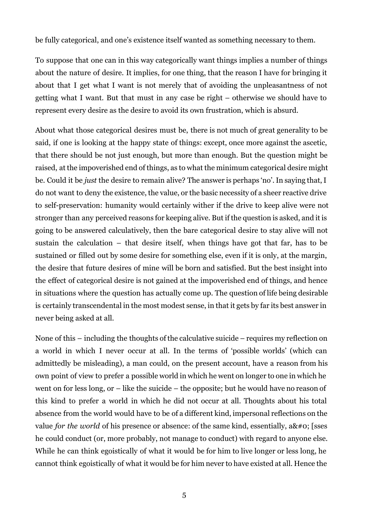be fully categorical, and one's existence itself wanted as something necessary to them.

To suppose that one can in this way categorically want things implies a number of things about the nature of desire. It implies, for one thing, that the reason I have for bringing it about that I get what I want is not merely that of avoiding the unpleasantness of not getting what I want. But that must in any case be right – otherwise we should have to represent every desire as the desire to avoid its own frustration, which is absurd.

About what those categorical desires must be, there is not much of great generality to be said, if one is looking at the happy state of things: except, once more against the ascetic, that there should be not just enough, but more than enough. But the question might be raised, at the impoverished end of things, as to what the minimum categorical desire might be. Could it be *just* the desire to remain alive? The answer is perhaps 'no'.In saying that,I do not want to deny the existence, the value, or the basic necessity of a sheer reactive drive to self-preservation: humanity would certainly wither if the drive to keep alive were not stronger than any perceived reasons for keeping alive. But if the question is asked, and it is going to be answered calculatively, then the bare categorical desire to stay alive will not sustain the calculation – that desire itself, when things have got that far, has to be sustained or filled out by some desire for something else, even if it is only, at the margin, the desire that future desires of mine will be born and satisfied. But the best insight into the effect of categorical desire is not gained at the impoverished end of things, and hence in situations where the question has actually come up. The question of life being desirable is certainly transcendental in the most modest sense, in that it gets by far its best answer in never being asked at all.

None of this – including the thoughts of the calculative suicide – requires my reflection on a world in which I never occur at all. In the terms of 'possible worlds' (which can admittedly be misleading), a man could, on the present account, have a reason from his own point of view to prefer a possible world in which he went on longer to one in which he went on for less long, or – like the suicide – the opposite; but he would have no reason of this kind to prefer a world in which he did not occur at all. Thoughts about his total absence from the world would have to be of a different kind, impersonal reflections on the value *for the world* of his presence or absence: of the same kind, essentially,  $a\&\#o$ ; [sses he could conduct (or, more probably, not manage to conduct) with regard to anyone else. While he can think egoistically of what it would be for him to live longer or less long, he cannot think egoistically of what it would be for him never to have existed at all. Hence the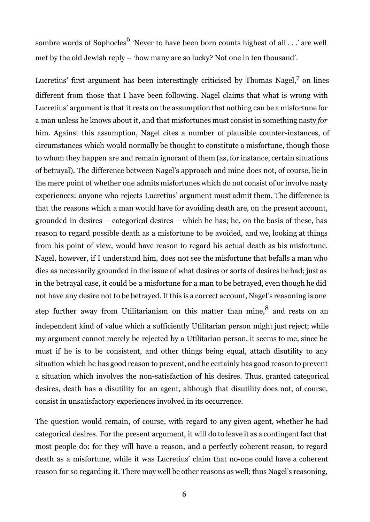sombre words of Sophocles<sup>6</sup> 'Never to have been born counts highest of all . . .' are well met by the old Jewish reply – 'how many are so lucky? Not one in ten thousand'.

Lucretius' first argument has been interestingly criticised by Thomas Nagel, $^7$  on lines different from those that I have been following. Nagel claims that what is wrong with Lucretius' argument is that it rests on the assumption that nothing can be a misfortune for a man unless he knows about it, and that misfortunes must consist in something nasty *for* him. Against this assumption, Nagel cites a number of plausible counter-instances, of circumstances which would normally be thought to constitute a misfortune, though those to whom they happen are and remain ignorant of them (as, for instance, certain situations of betrayal). The difference between Nagel's approach and mine does not, of course, lie in the mere point of whether one admits misfortunes which do not consist of or involve nasty experiences: anyone who rejects Lucretius' argument must admit them. The difference is that the reasons which a man would have for avoiding death are, on the present account, grounded in desires – categorical desires – which he has; he, on the basis of these, has reason to regard possible death as a misfortune to be avoided, and we, looking at things from his point of view, would have reason to regard his actual death as his misfortune. Nagel, however, if I understand him, does not see the misfortune that befalls a man who dies as necessarily grounded in the issue of what desires or sorts of desires he had; just as in the betrayal case, it could be a misfortune for a man to be betrayed, even though he did not have any desire not to be betrayed. If this is a correct account, Nagel's reasoning is one step further away from Utilitarianism on this matter than mine,  $8$  and rests on an independent kind of value which a sufficiently Utilitarian person might just reject; while my argument cannot merely be rejected by a Utilitarian person, it seems to me, since he must if he is to be consistent, and other things being equal, attach disutility to any situation which he has good reason to prevent, and he certainly has good reason to prevent a situation which involves the non-satisfaction of his desires. Thus, granted categorical desires, death has a disutility for an agent, although that disutility does not, of course, consist in unsatisfactory experiences involved in its occurrence.

The question would remain, of course, with regard to any given agent, whether he had categorical desires. For the present argument, it will do to leave it as a contingent fact that most people do: for they will have a reason, and a perfectly coherent reason, to regard death as a misfortune, while it was Lucretius' claim that no-one could have a coherent reason for so regarding it. There may well be other reasons as well; thus Nagel's reasoning,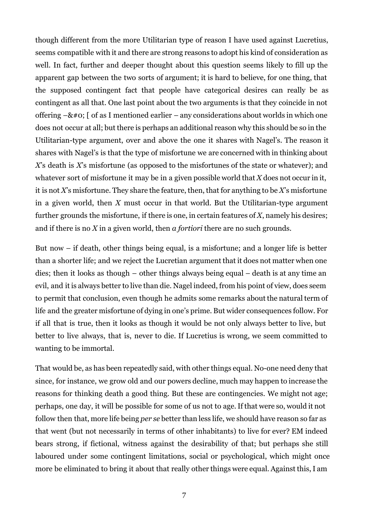though different from the more Utilitarian type of reason I have used against Lucretius, seems compatible with it and there are strong reasons to adopt his kind of consideration as well. In fact, further and deeper thought about this question seems likely to fill up the apparent gap between the two sorts of argument; it is hard to believe, for one thing, that the supposed contingent fact that people have categorical desires can really be as contingent as all that. One last point about the two arguments is that they coincide in not offering  $-\&\#o$ ; [ of as I mentioned earlier – any considerations about worlds in which one does not occur at all; but there is perhaps an additional reason why this should be so in the Utilitarian-type argument, over and above the one it shares with Nagel's. The reason it shares with Nagel's is that the type of misfortune we are concerned with in thinking about *X*'s death is *X*'s misfortune (as opposed to the misfortunes of the state or whatever); and whatever sort of misfortune it may be in a given possible world that *X* does not occur in it, it is not *X*'s misfortune. They share the feature, then, that for anything to be *X*'s misfortune in a given world, then *X* must occur in that world. But the Utilitarian-type argument further grounds the misfortune, if there is one, in certain features of *X*, namely his desires; and if there is no *X* in a given world, then *a fortiori* there are no such grounds.

But now – if death, other things being equal, is a misfortune; and a longer life is better than a shorter life; and we reject the Lucretian argument that it does not matter when one dies; then it looks as though – other things always being equal – death is at any time an evil, and it is always better to live than die. Nagel indeed, from his point of view, does seem to permit that conclusion, even though he admits some remarks about the natural term of life and the greater misfortune of dying in one's prime. But wider consequences follow. For if all that is true, then it looks as though it would be not only always better to live, but better to live always, that is, never to die. If Lucretius is wrong, we seem committed to wanting to be immortal.

That would be, as has been repeatedly said, with other things equal. No-one need deny that since, for instance, we grow old and our powers decline, much may happen to increase the reasons for thinking death a good thing. But these are contingencies. We might not age; perhaps, one day, it will be possible for some of us not to age.If that were so, would it not follow then that, more life being *per se* better than less life, we should have reason so far as that went (but not necessarily in terms of other inhabitants) to live for ever? EM indeed bears strong, if fictional, witness against the desirability of that; but perhaps she still laboured under some contingent limitations, social or psychological, which might once more be eliminated to bring it about that really other things were equal. Against this, I am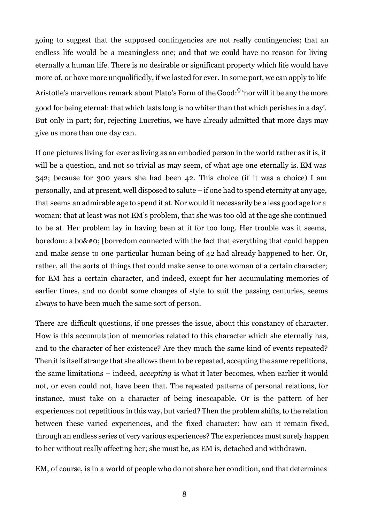going to suggest that the supposed contingencies are not really contingencies; that an endless life would be a meaningless one; and that we could have no reason for living eternally a human life. There is no desirable or significant property which life would have more of, or have more unqualifiedly, if we lasted for ever. In some part, we can apply to life Aristotle's marvellous remark about Plato's Form of the Good:<sup>9</sup> 'nor will it be any the more good for being eternal: that which lasts long is no whiter than that which perishes in a day'. But only in part; for, rejecting Lucretius, we have already admitted that more days may give us more than one day can.

If one pictures living for ever as living as an embodied person in the world rather as it is, it will be a question, and not so trivial as may seem, of what age one eternally is. EM was 342; because for 300 years she had been 42. This choice (if it was a choice) I am personally, and at present, well disposed to salute – if one had to spend eternity at any age, that seems an admirable age to spend it at. Nor would it necessarily be a less good age for a woman: that at least was not EM's problem, that she was too old at the age she continued to be at. Her problem lay in having been at it for too long. Her trouble was it seems, boredom: a bo $\&\#$ 0; [borredom connected with the fact that everything that could happen and make sense to one particular human being of 42 had already happened to her. Or, rather, all the sorts of things that could make sense to one woman of a certain character; for EM has a certain character, and indeed, except for her accumulating memories of earlier times, and no doubt some changes of style to suit the passing centuries, seems always to have been much the same sort of person.

There are difficult questions, if one presses the issue, about this constancy of character. How is this accumulation of memories related to this character which she eternally has, and to the character of her existence? Are they much the same kind of events repeated? Then it is itself strange that she allows them to be repeated, accepting the same repetitions, the same limitations – indeed, *accepting* is what it later becomes, when earlier it would not, or even could not, have been that. The repeated patterns of personal relations, for instance, must take on a character of being inescapable. Or is the pattern of her experiences not repetitious in this way, but varied? Then the problem shifts, to the relation between these varied experiences, and the fixed character: how can it remain fixed, through an endless series of very various experiences? The experiences must surely happen to her without really affecting her; she must be, as EM is, detached and withdrawn.

EM, of course, is in a world of people who do not share her condition, and that determines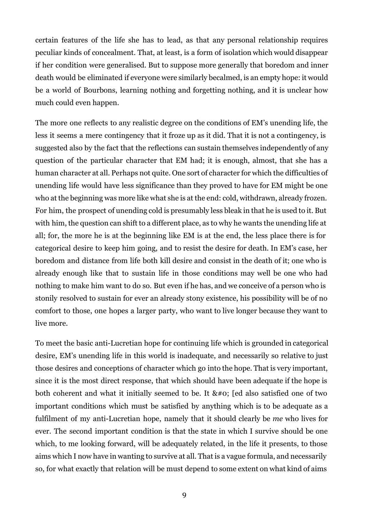certain features of the life she has to lead, as that any personal relationship requires peculiar kinds of concealment. That, at least, is a form of isolation which would disappear if her condition were generalised. But to suppose more generally that boredom and inner death would be eliminated if everyone were similarly becalmed, is an empty hope: it would be a world of Bourbons, learning nothing and forgetting nothing, and it is unclear how much could even happen.

The more one reflects to any realistic degree on the conditions of EM's unending life, the less it seems a mere contingency that it froze up as it did. That it is not a contingency, is suggested also by the fact that the reflections can sustain themselves independently of any question of the particular character that EM had; it is enough, almost, that she has a human character at all. Perhaps not quite. One sort of character for which the difficulties of unending life would have less significance than they proved to have for EM might be one who at the beginning was more like what she is at the end: cold, withdrawn, already frozen. For him, the prospect of unending cold is presumably less bleak in that he is used to it. But with him, the question can shift to a different place, as to why he wants the unending life at all; for, the more he is at the beginning like EM is at the end, the less place there is for categorical desire to keep him going, and to resist the desire for death. In EM's case, her boredom and distance from life both kill desire and consist in the death of it; one who is already enough like that to sustain life in those conditions may well be one who had nothing to make him want to do so. But even if he has, and we conceive of a person who is stonily resolved to sustain for ever an already stony existence, his possibility will be of no comfort to those, one hopes a larger party, who want to live longer because they want to live more.

To meet the basic anti-Lucretian hope for continuing life which is grounded in categorical desire, EM's unending life in this world is inadequate, and necessarily so relative to just those desires and conceptions of character which go into the hope. That is very important, since it is the most direct response, that which should have been adequate if the hope is both coherent and what it initially seemed to be. It  $&\#o$ ; [ed also satisfied one of two important conditions which must be satisfied by anything which is to be adequate as a fulfilment of my anti-Lucretian hope, namely that it should clearly be *me* who lives for ever. The second important condition is that the state in which I survive should be one which, to me looking forward, will be adequately related, in the life it presents, to those aims which I now have in wanting to survive at all. That is a vague formula, and necessarily so, for what exactly that relation will be must depend to some extent on what kind of aims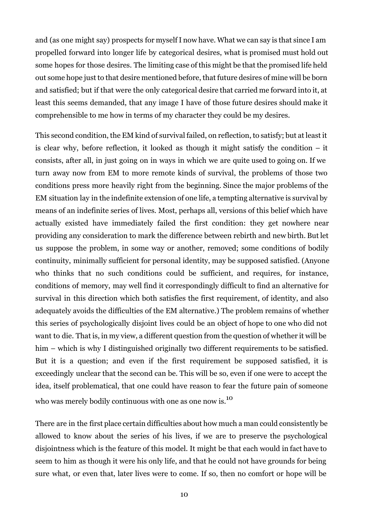and (as one might say) prospects for myselfI now have. What we can say is that since I am propelled forward into longer life by categorical desires, what is promised must hold out some hopes for those desires. The limiting case of this might be that the promised life held out some hope just to that desire mentioned before, that future desires of mine will be born and satisfied; but if that were the only categorical desire that carried me forward into it, at least this seems demanded, that any image I have of those future desires should make it comprehensible to me how in terms of my character they could be my desires.

This second condition, the EM kind of survival failed, on reflection, to satisfy; but at least it is clear why, before reflection, it looked as though it might satisfy the condition – it consists, after all, in just going on in ways in which we are quite used to going on. If we turn away now from EM to more remote kinds of survival, the problems of those two conditions press more heavily right from the beginning. Since the major problems of the EM situation lay in the indefinite extension of one life, a tempting alternative is survival by means of an indefinite series of lives. Most, perhaps all, versions of this belief which have actually existed have immediately failed the first condition: they get nowhere near providing any consideration to mark the difference between rebirth and new birth. But let us suppose the problem, in some way or another, removed; some conditions of bodily continuity, minimally sufficient for personal identity, may be supposed satisfied. (Anyone who thinks that no such conditions could be sufficient, and requires, for instance, conditions of memory, may well find it correspondingly difficult to find an alternative for survival in this direction which both satisfies the first requirement, of identity, and also adequately avoids the difficulties of the EM alternative.) The problem remains of whether this series of psychologically disjoint lives could be an object of hope to one who did not want to die. That is, in my view, a different question from the question of whether it will be him – which is why I distinguished originally two different requirements to be satisfied. But it is a question; and even if the first requirement be supposed satisfied, it is exceedingly unclear that the second can be. This will be so, even if one were to accept the idea, itself problematical, that one could have reason to fear the future pain of someone who was merely bodily continuous with one as one now is. 10

There are in the first place certain difficulties about how much a man could consistently be allowed to know about the series of his lives, if we are to preserve the psychological disjointness which is the feature of this model. It might be that each would in fact have to seem to him as though it were his only life, and that he could not have grounds for being sure what, or even that, later lives were to come. If so, then no comfort or hope will be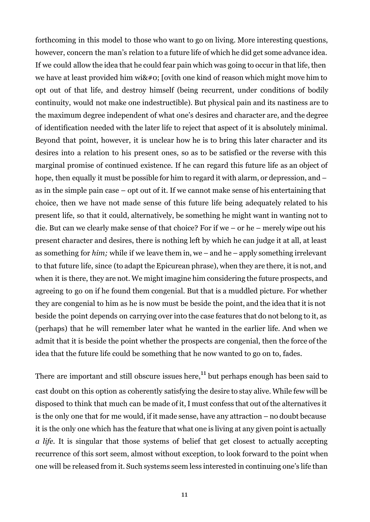forthcoming in this model to those who want to go on living. More interesting questions, however, concern the man's relation to a future life of which he did get some advance idea. If we could allow the idea that he could fear pain which was going to occur in that life, then we have at least provided him wi $&\#o$ ; [ovith one kind of reason which might move him to opt out of that life, and destroy himself (being recurrent, under conditions of bodily continuity, would not make one indestructible). But physical pain and its nastiness are to the maximum degree independent of what one's desires and character are, and the degree of identification needed with the later life to reject that aspect of it is absolutely minimal. Beyond that point, however, it is unclear how he is to bring this later character and its desires into a relation to his present ones, so as to be satisfied or the reverse with this marginal promise of continued existence. If he can regard this future life as an object of hope, then equally it must be possible for him to regard it with alarm, or depression, and  $$ as in the simple pain case – opt out of it. If we cannot make sense of his entertaining that choice, then we have not made sense of this future life being adequately related to his present life, so that it could, alternatively, be something he might want in wanting not to die. But can we clearly make sense of that choice? For if we – or he – merely wipe out his present character and desires, there is nothing left by which he can judge it at all, at least as something for *him;* while if we leave them in, we – and he – apply something irrelevant to that future life, since (to adapt the Epicurean phrase), when they are there, it is not, and when it is there, they are not. We might imagine him considering the future prospects, and agreeing to go on if he found them congenial. But that is a muddled picture. For whether they are congenial to him as he is now must be beside the point, and the idea that it is not beside the point depends on carrying over into the case features that do not belong to it, as (perhaps) that he will remember later what he wanted in the earlier life. And when we admit that it is beside the point whether the prospects are congenial, then the force of the idea that the future life could be something that he now wanted to go on to, fades.

There are important and still obscure issues here, $^{11}$  but perhaps enough has been said to cast doubt on this option as coherently satisfying the desire to stay alive. While few will be disposed to think that much can be made of it,I must confess that out of the alternatives it is the only one that for me would, if it made sense, have any attraction – no doubt because it is the only one which has the feature that what one is living at any given point is actually *a life.* It is singular that those systems of belief that get closest to actually accepting recurrence of this sort seem, almost without exception, to look forward to the point when one will be released from it. Such systems seem less interested in continuing one's life than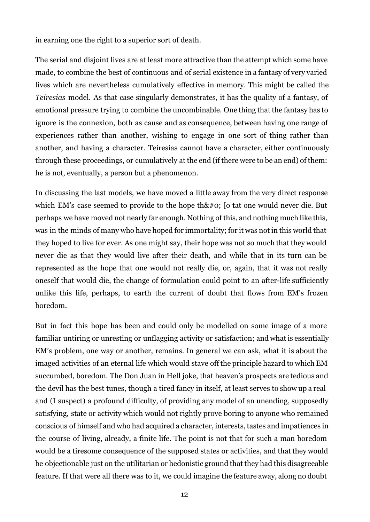in earning one the right to a superior sort of death.

The serial and disjoint lives are at least more attractive than the attempt which some have made, to combine the best of continuous and of serial existence in a fantasy of very varied lives which are nevertheless cumulatively effective in memory. This might be called the *Teiresias* model. As that case singularly demonstrates, it has the quality of a fantasy, of emotional pressure trying to combine the uncombinable. One thing that the fantasy has to ignore is the connexion, both as cause and as consequence, between having one range of experiences rather than another, wishing to engage in one sort of thing rather than another, and having a character. Teiresias cannot have a character, either continuously through these proceedings, or cumulatively at the end (if there were to be an end) of them: he is not, eventually, a person but a phenomenon.

In discussing the last models, we have moved a little away from the very direct response which EM's case seemed to provide to the hope th $&\#o$ ; [o tat one would never die. But perhaps we have moved not nearly far enough. Nothing of this, and nothing much like this, was in the minds of many who have hoped for immortality; for it was not in this world that they hoped to live for ever. As one might say, their hope was not so much that they would never die as that they would live after their death, and while that in its turn can be represented as the hope that one would not really die, or, again, that it was not really oneself that would die, the change of formulation could point to an after-life sufficiently unlike this life, perhaps, to earth the current of doubt that flows from EM's frozen boredom.

But in fact this hope has been and could only be modelled on some image of a more familiar untiring or unresting or unflagging activity or satisfaction; and what is essentially EM's problem, one way or another, remains. In general we can ask, what it is about the imaged activities of an eternal life which would stave off the principle hazard to which EM succumbed, boredom. The Don Juan in Hell joke, that heaven's prospects are tedious and the devil has the best tunes, though a tired fancy in itself, at least serves to show up a real and (I suspect) a profound difficulty, of providing any model of an unending, supposedly satisfying, state or activity which would not rightly prove boring to anyone who remained conscious of himself and who had acquired a character, interests, tastes and impatiences in the course of living, already, a finite life. The point is not that for such a man boredom would be a tiresome consequence of the supposed states or activities, and that they would be objectionable just on the utilitarian or hedonistic ground that they had this disagreeable feature. If that were all there was to it, we could imagine the feature away, along no doubt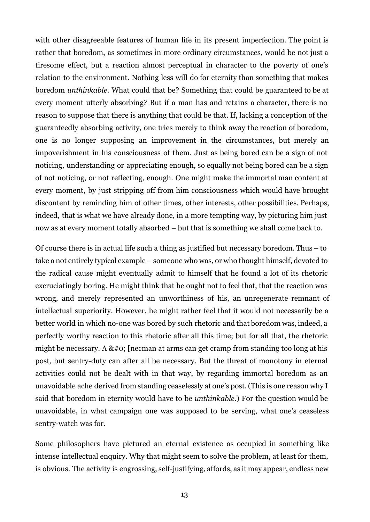with other disagreeable features of human life in its present imperfection. The point is rather that boredom, as sometimes in more ordinary circumstances, would be not just a tiresome effect, but a reaction almost perceptual in character to the poverty of one's relation to the environment. Nothing less will do for eternity than something that makes boredom *unthinkable*. What could that be? Something that could be guaranteed to be at every moment utterly absorbing? But if a man has and retains a character, there is no reason to suppose that there is anything that could be that. If, lacking a conception of the guaranteedly absorbing activity, one tries merely to think away the reaction of boredom, one is no longer supposing an improvement in the circumstances, but merely an impoverishment in his consciousness of them. Just as being bored can be a sign of not noticing, understanding or appreciating enough, so equally not being bored can be a sign of not noticing, or not reflecting, enough. One might make the immortal man content at every moment, by just stripping off from him consciousness which would have brought discontent by reminding him of other times, other interests, other possibilities. Perhaps, indeed, that is what we have already done, in a more tempting way, by picturing him just now as at every moment totally absorbed – but that is something we shall come back to.

Of course there is in actual life such a thing as justified but necessary boredom. Thus – to take a not entirely typical example – someone who was, or who thought himself, devoted to the radical cause might eventually admit to himself that he found a lot of its rhetoric excruciatingly boring. He might think that he ought not to feel that, that the reaction was wrong, and merely represented an unworthiness of his, an unregenerate remnant of intellectual superiority. However, he might rather feel that it would not necessarily be a better world in which no-one was bored by such rhetoric and that boredom was, indeed, a perfectly worthy reaction to this rhetoric after all this time; but for all that, the rhetoric might be necessary. A  $\&\#o$ ; [necman at arms can get cramp from standing too long at his post, but sentry-duty can after all be necessary. But the threat of monotony in eternal activities could not be dealt with in that way, by regarding immortal boredom as an unavoidable ache derived from standing ceaselessly at one's post. (This is one reason why I said that boredom in eternity would have to be *unthinkable*.) For the question would be unavoidable, in what campaign one was supposed to be serving, what one's ceaseless sentry-watch was for.

Some philosophers have pictured an eternal existence as occupied in something like intense intellectual enquiry. Why that might seem to solve the problem, at least for them, is obvious. The activity is engrossing, self-justifying, affords, as it may appear, endless new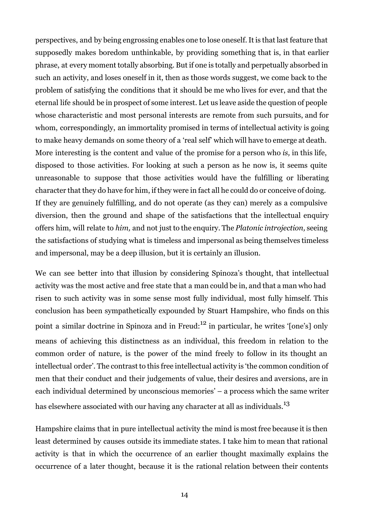perspectives, and by being engrossing enables one to lose oneself.It is that last feature that supposedly makes boredom unthinkable, by providing something that is, in that earlier phrase, at every moment totally absorbing. But if one is totally and perpetually absorbed in such an activity, and loses oneself in it, then as those words suggest, we come back to the problem of satisfying the conditions that it should be me who lives for ever, and that the eternal life should be in prospect of some interest. Let us leave aside the question of people whose characteristic and most personal interests are remote from such pursuits, and for whom, correspondingly, an immortality promised in terms of intellectual activity is going to make heavy demands on some theory of a 'real self' which will have to emerge at death. More interesting is the content and value of the promise for a person who *is,* in this life, disposed to those activities. For looking at such a person as he now is, it seems quite unreasonable to suppose that those activities would have the fulfilling or liberating character that they do have for him, if they were in fact all he could do or conceive of doing. If they are genuinely fulfilling, and do not operate (as they can) merely as a compulsive diversion, then the ground and shape of the satisfactions that the intellectual enquiry offers him, will relate to *him,* and not just to the enquiry. The *Platonic introjection,* seeing the satisfactions of studying what is timeless and impersonal as being themselves timeless and impersonal, may be a deep illusion, but it is certainly an illusion.

We can see better into that illusion by considering Spinoza's thought, that intellectual activity was the most active and free state that a man could be in, and that a man who had risen to such activity was in some sense most fully individual, most fully himself. This conclusion has been sympathetically expounded by Stuart Hampshire, who finds on this point a similar doctrine in Spinoza and in Freud:<sup>12</sup> in particular, he writes '[one's] only means of achieving this distinctness as an individual, this freedom in relation to the common order of nature, is the power of the mind freely to follow in its thought an intellectual order'. The contrast to this free intellectual activity is 'the common condition of men that their conduct and their judgements of value, their desires and aversions, are in each individual determined by unconscious memories' – a process which the same writer has elsewhere associated with our having any character at all as individuals. $^{\rm 13}$ 

Hampshire claims that in pure intellectual activity the mind is most free because it is then least determined by causes outside its immediate states. I take him to mean that rational activity is that in which the occurrence of an earlier thought maximally explains the occurrence of a later thought, because it is the rational relation between their contents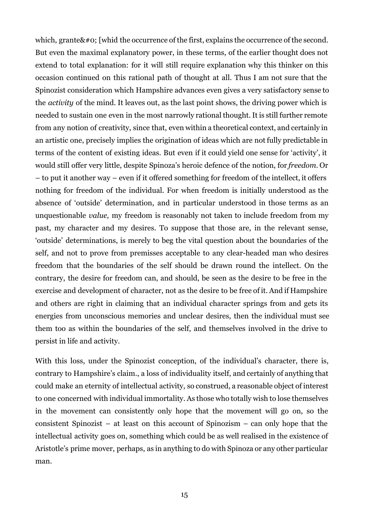which, grante  $\&\#o$ ; [whid the occurrence of the first, explains the occurrence of the second. But even the maximal explanatory power, in these terms, of the earlier thought does not extend to total explanation: for it will still require explanation why this thinker on this occasion continued on this rational path of thought at all. Thus I am not sure that the Spinozist consideration which Hampshire advances even gives a very satisfactory sense to the *activity* of the mind. It leaves out, as the last point shows, the driving power which is needed to sustain one even in the most narrowly rational thought.It is still further remote from any notion of creativity, since that, even within a theoretical context, and certainly in an artistic one, precisely implies the origination of ideas which are not fully predictable in terms of the content of existing ideas. But even if it could yield one sense for 'activity', it would still offer very little, despite Spinoza's heroic defence of the notion, for *freedom*. Or – to put it another way – even if it offered something for freedom of the intellect, it offers nothing for freedom of the individual. For when freedom is initially understood as the absence of 'outside' determination, and in particular understood in those terms as an unquestionable *value,* my freedom is reasonably not taken to include freedom from my past, my character and my desires. To suppose that those are, in the relevant sense, 'outside' determinations, is merely to beg the vital question about the boundaries of the self, and not to prove from premisses acceptable to any clear-headed man who desires freedom that the boundaries of the self should be drawn round the intellect. On the contrary, the desire for freedom can, and should, be seen as the desire to be free in the exercise and development of character, not as the desire to be free of it. And if Hampshire and others are right in claiming that an individual character springs from and gets its energies from unconscious memories and unclear desires, then the individual must see them too as within the boundaries of the self, and themselves involved in the drive to persist in life and activity.

With this loss, under the Spinozist conception, of the individual's character, there is, contrary to Hampshire's claim., a loss of individuality itself, and certainly of anything that could make an eternity of intellectual activity, so construed, a reasonable object of interest to one concerned with individual immortality. As those who totally wish to lose themselves in the movement can consistently only hope that the movement will go on, so the consistent Spinozist – at least on this account of Spinozism – can only hope that the intellectual activity goes on, something which could be as well realised in the existence of Aristotle's prime mover, perhaps, as in anything to do with Spinoza or any other particular man.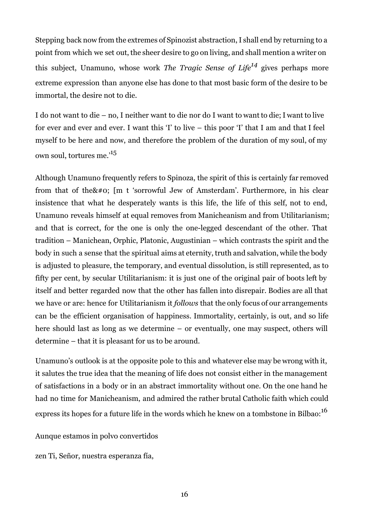Stepping back now from the extremes of Spinozist abstraction, I shall end by returning to a point from which we set out, the sheer desire to go on living, and shall mention a writer on this subject, Unamuno, whose work *The Tragic Sense of Life <sup>14</sup>* gives perhaps more extreme expression than anyone else has done to that most basic form of the desire to be immortal, the desire not to die.

I do not want to die – no, I neither want to die nor do I want to want to die;I want to live for ever and ever and ever. I want this 'I' to live – this poor 'I' that I am and that I feel myself to be here and now, and therefore the problem of the duration of my soul, of my own soul, tortures me.' 15

Although Unamuno frequently refers to Spinoza, the spirit of this is certainly far removed from that of the  $x \neq 0$ ; [m t 'sorrowful Jew of Amsterdam'. Furthermore, in his clear insistence that what he desperately wants is this life, the life of this self, not to end, Unamuno reveals himself at equal removes from Manicheanism and from Utilitarianism; and that is correct, for the one is only the one-legged descendant of the other. That tradition – Manichean, Orphic, Platonic, Augustinian – which contrasts the spirit and the body in such a sense that the spiritual aims at eternity, truth and salvation, while the body is adjusted to pleasure, the temporary, and eventual dissolution, is still represented, as to fifty per cent, by secular Utilitarianism: it is just one of the original pair of boots left by itself and better regarded now that the other has fallen into disrepair. Bodies are all that we have or are: hence for Utilitarianism it *follows* that the only focus of our arrangements can be the efficient organisation of happiness. Immortality, certainly, is out, and so life here should last as long as we determine – or eventually, one may suspect, others will determine – that it is pleasant for us to be around.

Unamuno's outlook is at the opposite pole to this and whatever else may be wrong with it, it salutes the true idea that the meaning of life does not consist either in the management of satisfactions in a body or in an abstract immortality without one. On the one hand he had no time for Manicheanism, and admired the rather brutal Catholic faith which could express its hopes for a future life in the words which he knew on a tombstone in Bilbao:  $^{16}$ 

Aunque estamos in polvo convertidos

zen Ti, Señor, nuestra esperanza fía,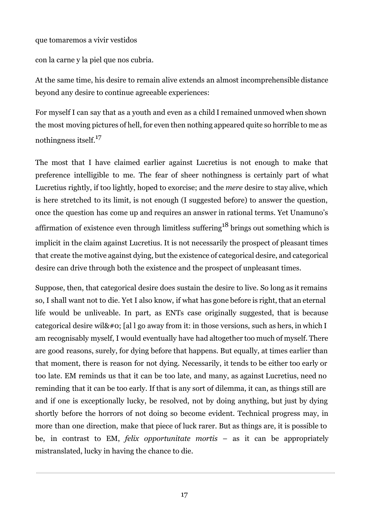que tomaremos a vivir vestidos

con la carne y la piel que nos cubria.

At the same time, his desire to remain alive extends an almost incomprehensible distance beyond any desire to continue agreeable experiences:

For myself I can say that as a youth and even as a child I remained unmoved when shown the most moving pictures of hell, for even then nothing appeared quite so horrible to me as nothingness itself.<sup>17</sup>

The most that I have claimed earlier against Lucretius is not enough to make that preference intelligible to me. The fear of sheer nothingness is certainly part of what Lucretius rightly, if too lightly, hoped to exorcise; and the *mere* desire to stay alive, which is here stretched to its limit, is not enough (I suggested before) to answer the question, once the question has come up and requires an answer in rational terms. Yet Unamuno's affirmation of existence even through limitless suffering<sup>18</sup> brings out something which is implicit in the claim against Lucretius. It is not necessarily the prospect of pleasant times that create the motive against dying, but the existence of categorical desire, and categorical desire can drive through both the existence and the prospect of unpleasant times.

Suppose, then, that categorical desire does sustain the desire to live. So long as it remains so, I shall want not to die. Yet I also know, if what has gone before is right, that an eternal life would be unliveable. In part, as ENTs case originally suggested, that is because categorical desire wil  $\&\#o$ ; [al l go away from it: in those versions, such as hers, in which I am recognisably myself, I would eventually have had altogether too much of myself. There are good reasons, surely, for dying before that happens. But equally, at times earlier than that moment, there is reason for not dying. Necessarily, it tends to be either too early or too late. EM reminds us that it can be too late, and many, as against Lucretius, need no reminding that it can be too early. If that is any sort of dilemma, it can, as things still are and if one is exceptionally lucky, be resolved, not by doing anything, but just by dying shortly before the horrors of not doing so become evident. Technical progress may, in more than one direction, make that piece of luck rarer. But as things are, it is possible to be, in contrast to EM, *felix opportunitate mortis* – as it can be appropriately mistranslated, lucky in having the chance to die.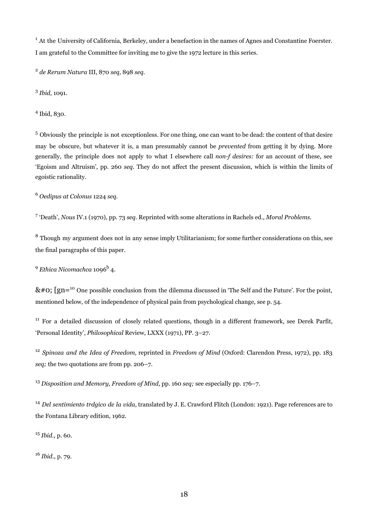<sup>1</sup> At the University of California, Berkeley, under a benefaction in the names of Agnes and Constantine Foerster. I am grateful to the Committee for inviting me to give the 1972 lecture in this series.

<sup>2</sup> *de Rerum Natura* III, 870 *seq,* 898 *seq.*

3 *Ibid,* 1091.

4 Ibid, 830.

<sup>5</sup> Obviously the principle is not exceptionless. For one thing, one can want to be dead: the content of that desire may be obscure, but whatever it is, a man presumably cannot be *prevented* from getting it by dying. More generally, the principle does not apply to what I elsewhere call *non-f desires:* for an account of these, see 'Egoism and Altruism', pp. 260 *seq.* They do not affect the present discussion, which is within the limits of egoistic rationality.

<sup>6</sup> *Oedipus at Colonus* 1224 *seq.*

7 'Death', *Nous* IV.1 (1970), pp. 73 *seq.* Reprinted with some alterations in Rachels ed., *Moral Problems.*

<sup>8</sup> Though my argument does not in any sense imply Utilitarianism; for some further considerations on this, see the final paragraphs of this paper.

<sup>9</sup> Ethica Nicomachca 1096<sup>b</sup> 4.

&#O; [gn=<sup>10</sup> One possible conclusion from the dilemma discussed in 'The Self and the Future'. For the point, mentioned below, of the independence of physical pain from psychological change, see p. 54.

 $11$  For a detailed discussion of closely related questions, though in a different framework, see Derek Parfit, 'Personal Identity', *Philosophical* Review, LXXX (1971), PP. 3–27.

<sup>12</sup> *Spinoza and the Idea of Freedom,* reprinted in *Freedom of Mind* (Oxford: Clarendon Press, 1972), pp. 183 *seq;* the two quotations are from pp. 206–7.

<sup>13</sup> *Disposition and Memory, Freedom of Mind,* pp. 160 *seq;* see especially pp. 176–7.

<sup>14</sup> *Del sentimiento trdgico de la vida*, translated by J. E. Crawford Flitch (London: 1921). Page references are to the Fontana Library edition, 1962.

15 *Ibid.,* p. 60.

16 *Ibid.,* p. 79.